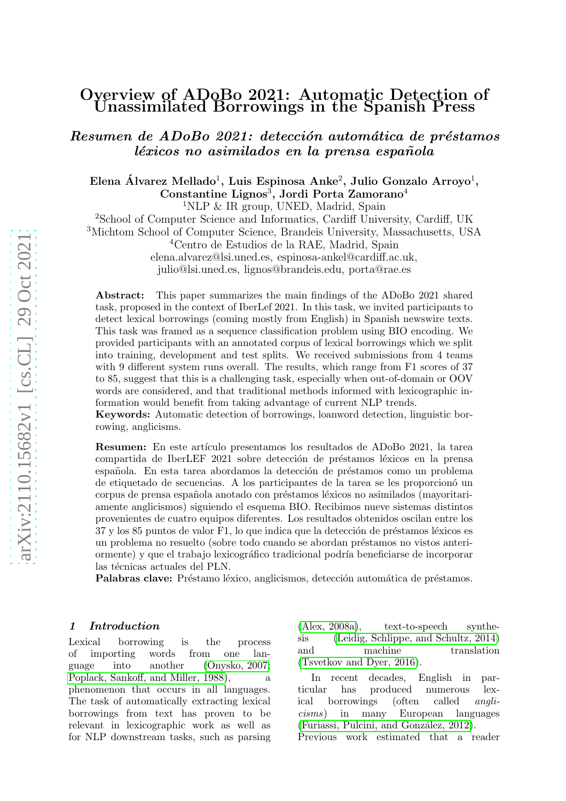# Overview of ADoBo 2021: Automatic Detection of Unassimilated Borrowings in the Spanish Press

Resumen de ADoBo 2021: detección automática de préstamos léxicos no asimilados en la prensa española

Elena Álvarez Mellado<sup>1</sup>, Luis Espinosa Anke<sup>2</sup>, Julio Gonzalo Arroyo<sup>1</sup>, Constantine Lignos 3 , Jordi Porta Zamorano 4 <sup>1</sup>NLP & IR group, UNED, Madrid, Spain <sup>2</sup>School of Computer Science and Informatics, Cardiff University, Cardiff, UK <sup>3</sup>Michtom School of Computer Science, Brandeis University, Massachusetts, USA  $4$ Centro de Estudios de la RAE, Madrid, Spain elena.alvarez@lsi.uned.es, espinosa-ankel@cardiff.ac.uk, julio@lsi.uned.es, lignos@brandeis.edu, porta@rae.es

Abstract: This paper summarizes the main findings of the ADoBo 2021 shared task, proposed in the context of IberLef 2021. In this task, we invited participants to detect lexical borrowings (coming mostly from English) in Spanish newswire texts. This task was framed as a sequence classification problem using BIO encoding. We provided participants with an annotated corpus of lexical borrowings which we split into training, development and test splits. We received submissions from 4 teams with 9 different system runs overall. The results, which range from F1 scores of 37 to 85, suggest that this is a challenging task, especially when out-of-domain or OOV words are considered, and that traditional methods informed with lexicographic information would benefit from taking advantage of current NLP trends.

Keywords: Automatic detection of borrowings, loanword detection, linguistic borrowing, anglicisms.

Resumen: En este artículo presentamos los resultados de ADoBo 2021, la tarea compartida de IberLEF 2021 sobre detección de préstamos léxicos en la prensa española. En esta tarea abordamos la detección de préstamos como un problema de etiquetado de secuencias. A los participantes de la tarea se les proporcion´o un corpus de prensa española anotado con préstamos léxicos no asimilados (mayoritariamente anglicismos) siguiendo el esquema BIO. Recibimos nueve sistemas distintos provenientes de cuatro equipos diferentes. Los resultados obtenidos oscilan entre los 37 y los 85 puntos de valor F1, lo que indica que la detección de préstamos léxicos es un problema no resuelto (sobre todo cuando se abordan préstamos no vistos anteriormente) y que el trabajo lexicográfico tradicional podría beneficiarse de incorporar las técnicas actuales del PLN.

Palabras clave: Préstamo léxico, anglicismos, detección automática de préstamos.

#### 1 Introduction

Lexical borrowing is the process of importing words from one language into another [\(Onysko, 2007;](#page-8-0) [Poplack, Sankoff, and Miller, 1988\)](#page-8-1), a phenomenon that occurs in all languages. The task of automatically extracting lexical borrowings from text has proven to be relevant in lexicographic work as well as for NLP downstream tasks, such as parsing

[\(Alex, 2008a\)](#page-7-0), text-to-speech synthesis [\(Leidig, Schlippe, and Schultz, 2014\)](#page-8-2) and machine translation [\(Tsvetkov and Dyer, 2016\)](#page-8-3).

In recent decades, English in particular has produced numerous lexical borrowings (often called anglicisms) in many European languages (Furiassi, Pulcini, and González, 2012).

Previous work estimated that a reader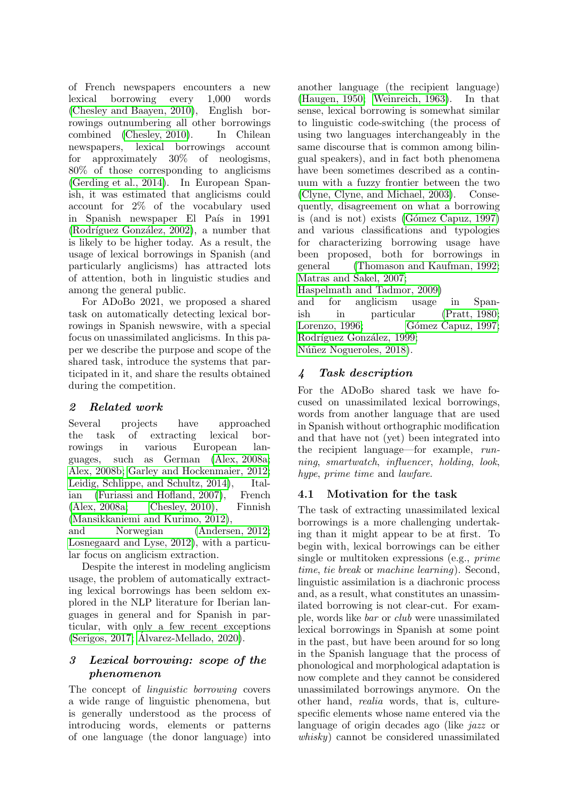of French newspapers encounters a new lexical borrowing every 1,000 words [\(Chesley and Baayen, 2010\)](#page-7-2), English borrowings outnumbering all other borrowings combined [\(Chesley, 2010\)](#page-7-3). In Chilean newspapers, lexical borrowings account for approximately 30% of neologisms, 80% of those corresponding to anglicisms [\(Gerding et al., 2014\)](#page-7-4). In European Spanish, it was estimated that anglicisms could account for 2% of the vocabulary used in Spanish newspaper El País in 1991 (Rodríguez González, 2002), a number that is likely to be higher today. As a result, the usage of lexical borrowings in Spanish (and particularly anglicisms) has attracted lots of attention, both in linguistic studies and among the general public.

For ADoBo 2021, we proposed a shared task on automatically detecting lexical borrowings in Spanish newswire, with a special focus on unassimilated anglicisms. In this paper we describe the purpose and scope of the shared task, introduce the systems that participated in it, and share the results obtained during the competition.

## 2 Related work

Several projects have approached the task of extracting lexical borrowings in various European languages, such as German [\(Alex, 2008a;](#page-7-0) [Alex, 2008b;](#page-7-5) [Garley and Hockenmaier, 2012;](#page-7-6) [Leidig, Schlippe, and Schultz, 2014\)](#page-8-2), Italian [\(Furiassi and Hofland, 2007\)](#page-7-7), French [\(Alex, 2008a;](#page-7-0) [Chesley, 2010\)](#page-7-3), Finnish [\(Mansikkaniemi and Kurimo, 2012\)](#page-8-5),

and Norwegian [\(Andersen, 2012;](#page-7-8) [Losnegaard and Lyse, 2012\)](#page-8-6), with a particular focus on anglicism extraction.

Despite the interest in modeling anglicism usage, the problem of automatically extracting lexical borrowings has been seldom explored in the NLP literature for Iberian languages in general and for Spanish in particular, with only a few recent exceptions [\(Serigos, 2017;](#page-8-7) [Alvarez-Mellado, 2020\)](#page-7-9). ´

# <span id="page-1-0"></span>3 Lexical borrowing: scope of the phenomenon

The concept of linguistic borrowing covers a wide range of linguistic phenomena, but is generally understood as the process of introducing words, elements or patterns of one language (the donor language) into

another language (the recipient language) [\(Haugen, 1950;](#page-7-10) [Weinreich, 1963\)](#page-9-0). In that sense, lexical borrowing is somewhat similar to linguistic code-switching (the process of using two languages interchangeably in the same discourse that is common among bilingual speakers), and in fact both phenomena have been sometimes described as a continuum with a fuzzy frontier between the two [\(Clyne, Clyne, and Michael, 2003\)](#page-7-11). Consequently, disagreement on what a borrowing is (and is not) exists  $(Gómez Capuz, 1997)$ and various classifications and typologies for characterizing borrowing usage have been proposed, both for borrowings in general [\(Thomason and Kaufman, 1992;](#page-8-8) [Matras and Sakel, 2007;](#page-8-9)

[Haspelmath and Tadmor, 2009\)](#page-7-13)

and for anglicism usage in Spanish in particular [\(Pratt, 1980;](#page-8-10) [Lorenzo, 1996;](#page-8-11) Gómez Capuz, 1997; Rodríguez González, 1999; Núñez Nogueroles, 2018).

# 4 Task description

For the ADoBo shared task we have focused on unassimilated lexical borrowings, words from another language that are used in Spanish without orthographic modification and that have not (yet) been integrated into the recipient language—for example, running, smartwatch, influencer, holding, look, hype, prime time and lawfare.

# 4.1 Motivation for the task

The task of extracting unassimilated lexical borrowings is a more challenging undertaking than it might appear to be at first. To begin with, lexical borrowings can be either single or multitoken expressions (e.g., prime time, tie break or machine learning). Second, linguistic assimilation is a diachronic process and, as a result, what constitutes an unassimilated borrowing is not clear-cut. For example, words like bar or club were unassimilated lexical borrowings in Spanish at some point in the past, but have been around for so long in the Spanish language that the process of phonological and morphological adaptation is now complete and they cannot be considered unassimilated borrowings anymore. On the other hand, realia words, that is, culturespecific elements whose name entered via the language of origin decades ago (like jazz or whisky) cannot be considered unassimilated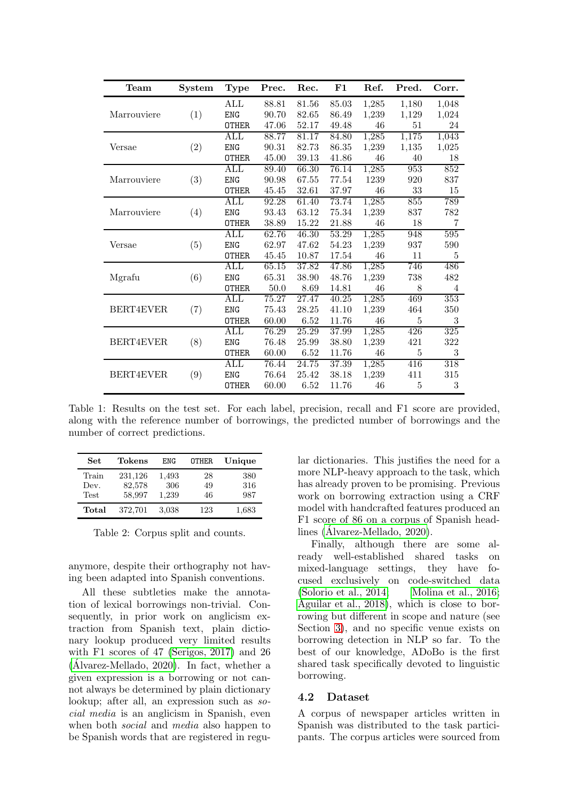| Team             | System | <b>Type</b>    | Prec. | Rec.  | F1    | Ref.  | Pred.              | Corr. |
|------------------|--------|----------------|-------|-------|-------|-------|--------------------|-------|
|                  |        | ALL            | 88.81 | 81.56 | 85.03 | 1,285 | 1,180              | 1,048 |
| Marrouviere      | (1)    | <b>ENG</b>     | 90.70 | 82.65 | 86.49 | 1,239 | 1,129              | 1,024 |
|                  |        | <b>OTHER</b>   | 47.06 | 52.17 | 49.48 | 46    | 51                 | 24    |
|                  |        | ALL            | 88.77 | 81.17 | 84.80 | 1,285 | $1,\overline{175}$ | 1,043 |
| Versae           | (2)    | <b>ENG</b>     | 90.31 | 82.73 | 86.35 | 1,239 | 1,135              | 1,025 |
|                  |        | <b>OTHER</b>   | 45.00 | 39.13 | 41.86 | 46    | 40                 | 18    |
|                  |        | ALL            | 89.40 | 66.30 | 76.14 | 1,285 | 953                | 852   |
| Marrouviere      | (3)    | ENG            | 90.98 | 67.55 | 77.54 | 1239  | 920                | 837   |
|                  |        | <b>OTHER</b>   | 45.45 | 32.61 | 37.97 | 46    | 33                 | 15    |
|                  |        | ALL            | 92.28 | 61.40 | 73.74 | 1,285 | 855                | 789   |
| Marrouviere      | (4)    | <b>ENG</b>     | 93.43 | 63.12 | 75.34 | 1,239 | 837                | 782   |
|                  |        | <b>OTHER</b>   | 38.89 | 15.22 | 21.88 | 46    | 18                 | 7     |
|                  |        | ALL            | 62.76 | 46.30 | 53.29 | 1,285 | 948                | 595   |
| Versae           | (5)    | <b>ENG</b>     | 62.97 | 47.62 | 54.23 | 1,239 | 937                | 590   |
|                  |        | <b>OTHER</b>   | 45.45 | 10.87 | 17.54 | 46    | 11                 | 5     |
|                  |        | ALL            | 65.15 | 37.82 | 47.86 | 1,285 | 746                | 486   |
| Mgrafu           | (6)    | <b>ENG</b>     | 65.31 | 38.90 | 48.76 | 1,239 | 738                | 482   |
|                  |        | <b>OTHER</b>   | 50.0  | 8.69  | 14.81 | 46    | 8                  | 4     |
|                  | (7)    | ALL            | 75.27 | 27.47 | 40.25 | 1,285 | 469                | 353   |
| <b>BERT4EVER</b> |        | <b>ENG</b>     | 75.43 | 28.25 | 41.10 | 1,239 | 464                | 350   |
|                  |        | <b>OTHER</b>   | 60.00 | 6.52  | 11.76 | 46    | $\bf 5$            | 3     |
| BERT4EVER        | (8)    | $\mathrm{ALL}$ | 76.29 | 25.29 | 37.99 | 1,285 | 426                | 325   |
|                  |        | <b>ENG</b>     | 76.48 | 25.99 | 38.80 | 1,239 | 421                | 322   |
|                  |        | <b>OTHER</b>   | 60.00 | 6.52  | 11.76 | 46    | 5                  | 3     |
| BERT4EVER        | (9)    | ALL            | 76.44 | 24.75 | 37.39 | 1,285 | 416                | 318   |
|                  |        | <b>ENG</b>     | 76.64 | 25.42 | 38.18 | 1,239 | 411                | 315   |
|                  |        | <b>OTHER</b>   | 60.00 | 6.52  | 11.76 | 46    | 5                  | 3     |

<span id="page-2-1"></span>Table 1: Results on the test set. For each label, precision, recall and F1 score are provided, along with the reference number of borrowings, the predicted number of borrowings and the number of correct predictions.

| Set         | Tokens  | ENG   | <b>OTHER</b> | Unique |
|-------------|---------|-------|--------------|--------|
| Train       | 231,126 | 1,493 | 28           | 380    |
| Dev.        | 82,578  | 306   | 49           | 316    |
| <b>Test</b> | 58,997  | 1,239 | 46           | 987    |
| Total       | 372,701 | 3.038 | 123          | 1,683  |

<span id="page-2-0"></span>Table 2: Corpus split and counts.

anymore, despite their orthography not having been adapted into Spanish conventions.

All these subtleties make the annotation of lexical borrowings non-trivial. Consequently, in prior work on anglicism extraction from Spanish text, plain dictionary lookup produced very limited results with F1 scores of 47 [\(Serigos, 2017\)](#page-8-7) and 26  $(Alvarez-Mellado, 2020)$ . In fact, whether a given expression is a borrowing or not cannot always be determined by plain dictionary lookup; after all, an expression such as social media is an anglicism in Spanish, even when both social and media also happen to be Spanish words that are registered in regular dictionaries. This justifies the need for a more NLP-heavy approach to the task, which has already proven to be promising. Previous work on borrowing extraction using a CRF model with handcrafted features produced an F1 score of 86 on a corpus of Spanish head-lines [\(Alvarez-Mellado, 2020\)](#page-7-9).

Finally, although there are some already well-established shared tasks on mixed-language settings, they have focused exclusively on code-switched data  $(Solorio et al., 2014; Molina et al., 2016;$  $(Solorio et al., 2014; Molina et al., 2016;$ [Aguilar et al., 2018\)](#page-7-14), which is close to borrowing but different in scope and nature (see Section [3\)](#page-1-0), and no specific venue exists on borrowing detection in NLP so far. To the best of our knowledge, ADoBo is the first shared task specifically devoted to linguistic borrowing.

#### 4.2 Dataset

A corpus of newspaper articles written in Spanish was distributed to the task participants. The corpus articles were sourced from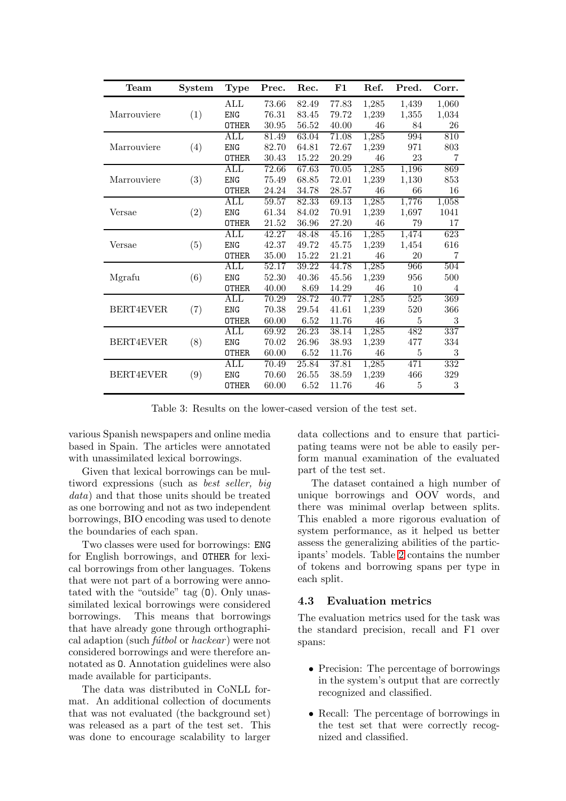| Team             | System | <b>Type</b>    | Prec. | Rec.  | $\bf{F1}$ | Ref.  | Pred.              | Corr. |
|------------------|--------|----------------|-------|-------|-----------|-------|--------------------|-------|
|                  |        | ALL            | 73.66 | 82.49 | 77.83     | 1,285 | 1,439              | 1,060 |
| Marrouviere      | (1)    | <b>ENG</b>     | 76.31 | 83.45 | 79.72     | 1,239 | 1,355              | 1,034 |
|                  |        | <b>OTHER</b>   | 30.95 | 56.52 | 40.00     | 46    | 84                 | 26    |
|                  |        | $\mathrm{ALL}$ | 81.49 | 63.04 | 71.08     | 1,285 | 994                | 810   |
| Marrouviere      | (4)    | <b>ENG</b>     | 82.70 | 64.81 | 72.67     | 1,239 | 971                | 803   |
|                  |        | <b>OTHER</b>   | 30.43 | 15.22 | 20.29     | 46    | 23                 | 7     |
|                  |        | ALL            | 72.66 | 67.63 | 70.05     | 1,285 | $1,\overline{196}$ | 869   |
| Marrouviere      | (3)    | <b>ENG</b>     | 75.49 | 68.85 | 72.01     | 1,239 | 1,130              | 853   |
|                  |        | <b>OTHER</b>   | 24.24 | 34.78 | 28.57     | 46    | 66                 | 16    |
|                  |        | ALL            | 59.57 | 82.33 | 69.13     | 1,285 | 1,776              | 1,058 |
| Versae           | (2)    | <b>ENG</b>     | 61.34 | 84.02 | 70.91     | 1,239 | 1,697              | 1041  |
|                  |        | <b>OTHER</b>   | 21.52 | 36.96 | 27.20     | 46    | 79                 | 17    |
|                  |        | <b>ALL</b>     | 42.27 | 48.48 | 45.16     | 1,285 | 1,474              | 623   |
| Versae           | (5)    | <b>ENG</b>     | 42.37 | 49.72 | 45.75     | 1,239 | 1,454              | 616   |
|                  |        | <b>OTHER</b>   | 35.00 | 15.22 | 21.21     | 46    | 20                 | 7     |
|                  |        | ALL            | 52.17 | 39.22 | 44.78     | 1,285 | 966                | 504   |
| Mgrafu           | (6)    | <b>ENG</b>     | 52.30 | 40.36 | 45.56     | 1,239 | 956                | 500   |
|                  |        | <b>OTHER</b>   | 40.00 | 8.69  | 14.29     | 46    | 10                 | 4     |
|                  | (7)    | ALL            | 70.29 | 28.72 | 40.77     | 1,285 | 525                | 369   |
| BERT4EVER        |        | <b>ENG</b>     | 70.38 | 29.54 | 41.61     | 1,239 | 520                | 366   |
|                  |        | <b>OTHER</b>   | 60.00 | 6.52  | 11.76     | 46    | 5                  | 3     |
| BERT4EVER        | (8)    | ALL            | 69.92 | 26.23 | 38.14     | 1,285 | 482                | 337   |
|                  |        | <b>ENG</b>     | 70.02 | 26.96 | 38.93     | 1,239 | 477                | 334   |
|                  |        | <b>OTHER</b>   | 60.00 | 6.52  | 11.76     | 46    | 5                  | 3     |
| <b>BERT4EVER</b> | (9)    | ALL            | 70.49 | 25.84 | 37.81     | 1,285 | 471                | 332   |
|                  |        | <b>ENG</b>     | 70.60 | 26.55 | 38.59     | 1,239 | 466                | 329   |
|                  |        | <b>OTHER</b>   | 60.00 | 6.52  | 11.76     | 46    | 5                  | 3     |

<span id="page-3-0"></span>Table 3: Results on the lower-cased version of the test set.

various Spanish newspapers and online media based in Spain. The articles were annotated with unassimilated lexical borrowings.

Given that lexical borrowings can be multiword expressions (such as best seller, big data) and that those units should be treated as one borrowing and not as two independent borrowings, BIO encoding was used to denote the boundaries of each span.

Two classes were used for borrowings: ENG for English borrowings, and OTHER for lexical borrowings from other languages. Tokens that were not part of a borrowing were annotated with the "outside" tag (O). Only unassimilated lexical borrowings were considered borrowings. This means that borrowings that have already gone through orthographical adaption (such *fútbol* or  $hackear$ ) were not considered borrowings and were therefore annotated as O. Annotation guidelines were also made available for participants.

The data was distributed in CoNLL format. An additional collection of documents that was not evaluated (the background set) was released as a part of the test set. This was done to encourage scalability to larger

data collections and to ensure that participating teams were not be able to easily perform manual examination of the evaluated part of the test set.

The dataset contained a high number of unique borrowings and OOV words, and there was minimal overlap between splits. This enabled a more rigorous evaluation of system performance, as it helped us better assess the generalizing abilities of the participants' models. Table [2](#page-2-0) contains the number of tokens and borrowing spans per type in each split.

#### 4.3 Evaluation metrics

The evaluation metrics used for the task was the standard precision, recall and F1 over spans:

- Precision: The percentage of borrowings in the system's output that are correctly recognized and classified.
- Recall: The percentage of borrowings in the test set that were correctly recognized and classified.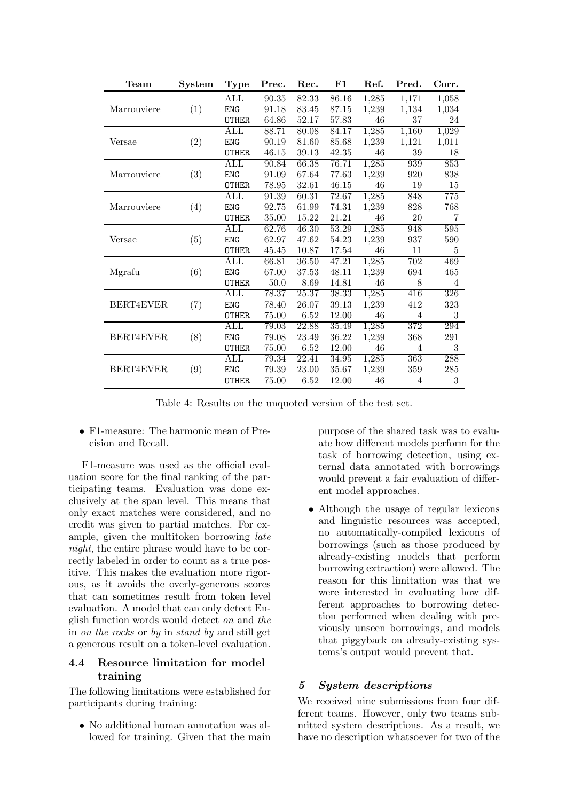| Team        | $\mathbf{System}$ | <b>Type</b>               | Prec.                | Rec.     | F1        | Ref.   | Pred.          | Corr.      |
|-------------|-------------------|---------------------------|----------------------|----------|-----------|--------|----------------|------------|
|             |                   | $\rm ALL$                 | $\boldsymbol{90.35}$ | 82.33    | $86.16\,$ | 1,285  | 1,171          | 1,058      |
| Marrouviere | (1)               | <b>ENG</b>                | 91.18                | 83.45    | 87.15     | 1,239  | 1,134          | 1,034      |
|             |                   | <b>OTHER</b>              | 64.86                | 52.17    | 57.83     | $46\,$ | 37             | 24         |
|             |                   | $\rm ALL$                 | 88.71                | 80.08    | 84.17     | 1,285  | 1,160          | 1,029      |
| Versae      | (2)               | <b>ENG</b>                | 90.19                | 81.60    | 85.68     | 1,239  | 1,121          | 1,011      |
|             |                   | <b>OTHER</b>              | 46.15                | 39.13    | $42.35\,$ | 46     | 39             | 18         |
|             |                   | ALL                       | 90.84                | 66.38    | 76.71     | 1,285  | 939            | 853        |
| Marrouviere | (3)               | <b>ENG</b>                | 91.09                | 67.64    | 77.63     | 1,239  | 920            | 838        |
|             |                   | <b>OTHER</b>              | 78.95                | 32.61    | 46.15     | 46     | 19             | 15         |
|             |                   | ALL                       | 91.39                | 60.31    | 72.67     | 1,285  | 848            | 775        |
| Marrouviere | (4)               | <b>ENG</b>                | 92.75                | 61.99    | 74.31     | 1,239  | 828            | 768        |
|             |                   | <b>OTHER</b>              | 35.00                | 15.22    | 21.21     | 46     | 20             | 7          |
|             | (5)               | ALL                       | 62.76                | 46.30    | 53.29     | 1,285  | 948            | 595        |
| Versae      |                   | <b>ENG</b>                | 62.97                | 47.62    | 54.23     | 1,239  | 937            | 590        |
|             |                   | <b>OTHER</b>              | 45.45                | 10.87    | 17.54     | 46     | 11             | 5          |
|             |                   | $\rm ALL$                 | 66.81                | 36.50    | 47.21     | 1,285  | 702            | 469        |
| Mgrafu      | (6)               | <b>ENG</b>                | 67.00                | 37.53    | 48.11     | 1,239  | 694            | 465        |
|             |                   | <b>OTHER</b>              | $50.0\,$             | 8.69     | 14.81     | 46     | 8              | 4          |
|             | (7)               | $\overline{\mathrm{ALL}}$ | 78.37                | 25.37    | 38.33     | 1,285  | 416            | 326        |
| BERT4EVER   |                   | <b>ENG</b>                | 78.40                | 26.07    | 39.13     | 1,239  | 412            | 323        |
|             |                   | <b>OTHER</b>              | 75.00                | 6.52     | 12.00     | 46     | $\overline{4}$ | 3          |
| BERT4EVER   | (8)               | $\rm ALL$                 | 79.03                | 22.88    | 35.49     | 1,285  | 372            | 294        |
|             |                   | <b>ENG</b>                | 79.08                | 23.49    | 36.22     | 1,239  | 368            | 291        |
|             |                   | <b>OTHER</b>              | 75.00                | $6.52\,$ | 12.00     | 46     | $\overline{4}$ | $\sqrt{3}$ |
| BERT4EVER   | (9)               | ALL                       | 79.34                | 22.41    | 34.95     | 1,285  | 363            | 288        |
|             |                   | <b>ENG</b>                | 79.39                | 23.00    | 35.67     | 1,239  | 359            | 285        |
|             |                   | <b>OTHER</b>              | 75.00                | 6.52     | 12.00     | 46     | 4              | 3          |

<span id="page-4-0"></span>Table 4: Results on the unquoted version of the test set.

• F1-measure: The harmonic mean of Precision and Recall.

F1-measure was used as the official evaluation score for the final ranking of the participating teams. Evaluation was done exclusively at the span level. This means that only exact matches were considered, and no credit was given to partial matches. For example, given the multitoken borrowing late night, the entire phrase would have to be correctly labeled in order to count as a true positive. This makes the evaluation more rigorous, as it avoids the overly-generous scores that can sometimes result from token level evaluation. A model that can only detect English function words would detect on and the in on the rocks or by in stand by and still get a generous result on a token-level evaluation.

### 4.4 Resource limitation for model training

The following limitations were established for participants during training:

• No additional human annotation was allowed for training. Given that the main purpose of the shared task was to evaluate how different models perform for the task of borrowing detection, using external data annotated with borrowings would prevent a fair evaluation of different model approaches.

• Although the usage of regular lexicons and linguistic resources was accepted, no automatically-compiled lexicons of borrowings (such as those produced by already-existing models that perform borrowing extraction) were allowed. The reason for this limitation was that we were interested in evaluating how different approaches to borrowing detection performed when dealing with previously unseen borrowings, and models that piggyback on already-existing systems's output would prevent that.

### 5 System descriptions

We received nine submissions from four different teams. However, only two teams submitted system descriptions. As a result, we have no description whatsoever for two of the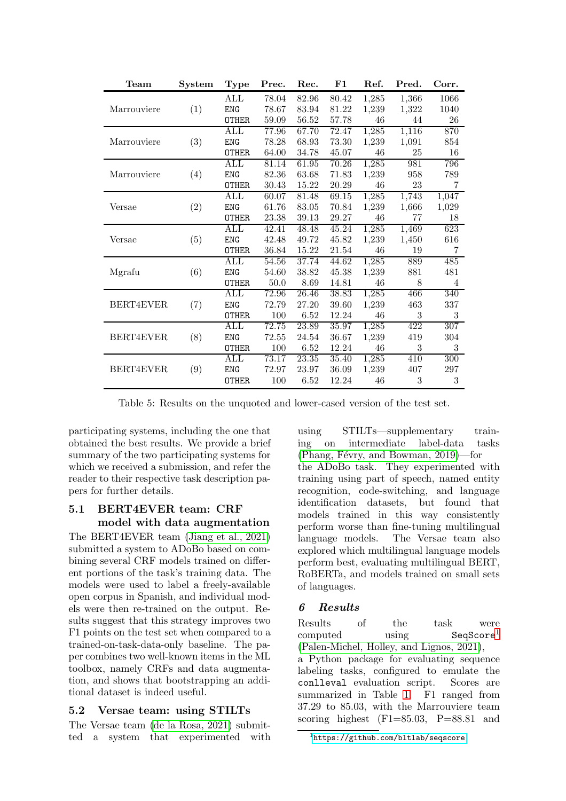| Team             | $\mathbf{System}$ | <b>Type</b>    | Prec.    | Rec.     | $\bf{F1}$ | Ref.   | Pred. | Corr. |
|------------------|-------------------|----------------|----------|----------|-----------|--------|-------|-------|
|                  |                   | $\rm ALL$      | 78.04    | 82.96    | 80.42     | 1,285  | 1,366 | 1066  |
| Marrouviere      | (1)               | <b>ENG</b>     | 78.67    | 83.94    | 81.22     | 1,239  | 1,322 | 1040  |
|                  |                   | <b>OTHER</b>   | 59.09    | 56.52    | 57.78     | 46     | 44    | 26    |
|                  |                   | ALL            | 77.96    | 67.70    | 72.47     | 1,285  | 1,116 | 870   |
| Marrouviere      | (3)               | <b>ENG</b>     | 78.28    | 68.93    | 73.30     | 1,239  | 1,091 | 854   |
|                  |                   | <b>OTHER</b>   | 64.00    | 34.78    | 45.07     | 46     | 25    | 16    |
|                  |                   | $\rm ALL$      | 81.14    | 61.95    | 70.26     | 1,285  | 981   | 796   |
| Marrouviere      | (4)               | <b>ENG</b>     | 82.36    | 63.68    | 71.83     | 1,239  | 958   | 789   |
|                  |                   | <b>OTHER</b>   | 30.43    | 15.22    | 20.29     | 46     | 23    | 7     |
|                  |                   | $\rm ALL$      | 60.07    | 81.48    | 69.15     | 1,285  | 1,743 | 1,047 |
| Versae           | (2)               | <b>ENG</b>     | 61.76    | 83.05    | 70.84     | 1,239  | 1,666 | 1,029 |
|                  |                   | <b>OTHER</b>   | 23.38    | 39.13    | 29.27     | $46\,$ | 77    | 18    |
|                  |                   | ALL            | 42.41    | 48.48    | 45.24     | 1,285  | 1,469 | 623   |
| Versae           | (5)               | <b>ENG</b>     | 42.48    | 49.72    | 45.82     | 1,239  | 1,450 | 616   |
|                  |                   | <b>OTHER</b>   | 36.84    | 15.22    | 21.54     | 46     | 19    | 7     |
|                  |                   | <b>ALL</b>     | 54.56    | 37.74    | 44.62     | 1,285  | 889   | 485   |
| Mgrafu           | (6)               | <b>ENG</b>     | 54.60    | 38.82    | 45.38     | 1,239  | 881   | 481   |
|                  |                   | <b>OTHER</b>   | $50.0\,$ | 8.69     | 14.81     | 46     | 8     | 4     |
|                  | (7)               | $\mathrm{ALL}$ | 72.96    | 26.46    | 38.83     | 1,285  | 466   | 340   |
| <b>BERT4EVER</b> |                   | <b>ENG</b>     | 72.79    | 27.20    | 39.60     | 1,239  | 463   | 337   |
|                  |                   | <b>OTHER</b>   | 100      | 6.52     | 12.24     | 46     | 3     | 3     |
| BERT4EVER        | (8)               | $\rm ALL$      | 72.75    | 23.89    | 35.97     | 1,285  | 422   | 307   |
|                  |                   | <b>ENG</b>     | 72.55    | 24.54    | 36.67     | 1,239  | 419   | 304   |
|                  |                   | <b>OTHER</b>   | 100      | $6.52\,$ | 12.24     | 46     | 3     | 3     |
| BERT4EVER        |                   | ALL            | 73.17    | 23.35    | 35.40     | 1,285  | 410   | 300   |
|                  | (9)               | <b>ENG</b>     | 72.97    | 23.97    | 36.09     | 1,239  | 407   | 297   |
|                  |                   | <b>OTHER</b>   | 100      | 6.52     | 12.24     | 46     | 3     | 3     |

<span id="page-5-1"></span>Table 5: Results on the unquoted and lower-cased version of the test set.

participating systems, including the one that obtained the best results. We provide a brief summary of the two participating systems for which we received a submission, and refer the reader to their respective task description papers for further details.

### 5.1 BERT4EVER team: CRF model with data augmentation

The BERT4EVER team [\(Jiang et al., 2021\)](#page-7-15) submitted a system to ADoBo based on combining several CRF models trained on different portions of the task's training data. The models were used to label a freely-available open corpus in Spanish, and individual models were then re-trained on the output. Results suggest that this strategy improves two F1 points on the test set when compared to a trained-on-task-data-only baseline. The paper combines two well-known items in the ML toolbox, namely CRFs and data augmentation, and shows that bootstrapping an additional dataset is indeed useful.

### 5.2 Versae team: using STILTs

The Versae team [\(de la Rosa, 2021\)](#page-7-16) submitted a system that experimented with using STILTs—supplementary training on intermediate label-data tasks (Phang, Févry, and Bowman,  $2019$ )—for the ADoBo task. They experimented with training using part of speech, named entity recognition, code-switching, and language identification datasets, but found that models trained in this way consistently perform worse than fine-tuning multilingual language models. The Versae team also explored which multilingual language models perform best, evaluating multilingual BERT, RoBERTa, and models trained on small sets of languages.

# 6 Results

Results of the task were computed using SeqScore<sup>[1](#page-5-0)</sup> [\(Palen-Michel, Holley, and Lignos, 2021\)](#page-8-17),

a Python package for evaluating sequence labeling tasks, configured to emulate the conlleval evaluation script. Scores are summarized in Table [1.](#page-2-1) F1 ranged from 37.29 to 85.03, with the Marrouviere team scoring highest  $(F1=85.03, P=88.81$  and

<span id="page-5-0"></span> $^{\rm 1}$ <https://github.com/bltlab/seqscore>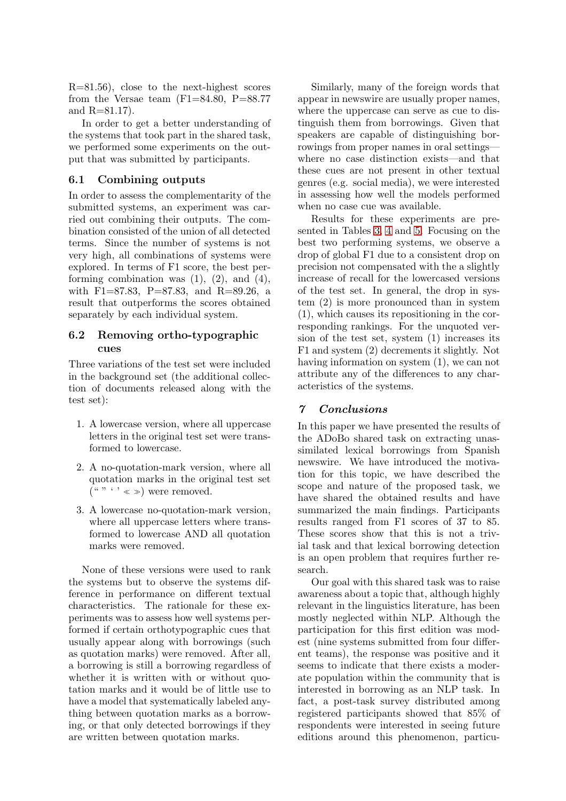R=81.56), close to the next-highest scores from the Versae team  $(F1=84.80, P=88.77)$ and R=81.17).

In order to get a better understanding of the systems that took part in the shared task, we performed some experiments on the output that was submitted by participants.

#### 6.1 Combining outputs

In order to assess the complementarity of the submitted systems, an experiment was carried out combining their outputs. The combination consisted of the union of all detected terms. Since the number of systems is not very high, all combinations of systems were explored. In terms of F1 score, the best performing combination was  $(1)$ ,  $(2)$ , and  $(4)$ , with F1=87.83, P=87.83, and R=89.26, a result that outperforms the scores obtained separately by each individual system.

#### 6.2 Removing ortho-typographic cues

Three variations of the test set were included in the background set (the additional collection of documents released along with the test set):

- 1. A lowercase version, where all uppercase letters in the original test set were transformed to lowercase.
- 2. A no-quotation-mark version, where all quotation marks in the original test set  $({}^{\omega}$  "  $\hookrightarrow$   $\infty$   $)$  were removed.
- 3. A lowercase no-quotation-mark version, where all uppercase letters where transformed to lowercase AND all quotation marks were removed.

None of these versions were used to rank the systems but to observe the systems difference in performance on different textual characteristics. The rationale for these experiments was to assess how well systems performed if certain orthotypographic cues that usually appear along with borrowings (such as quotation marks) were removed. After all, a borrowing is still a borrowing regardless of whether it is written with or without quotation marks and it would be of little use to have a model that systematically labeled anything between quotation marks as a borrowing, or that only detected borrowings if they are written between quotation marks.

Similarly, many of the foreign words that appear in newswire are usually proper names, where the uppercase can serve as cue to distinguish them from borrowings. Given that speakers are capable of distinguishing borrowings from proper names in oral settings where no case distinction exists—and that these cues are not present in other textual genres (e.g. social media), we were interested in assessing how well the models performed when no case cue was available.

Results for these experiments are presented in Tables [3,](#page-3-0) [4](#page-4-0) and [5.](#page-5-1) Focusing on the best two performing systems, we observe a drop of global F1 due to a consistent drop on precision not compensated with the a slightly increase of recall for the lowercased versions of the test set. In general, the drop in system (2) is more pronounced than in system (1), which causes its repositioning in the corresponding rankings. For the unquoted version of the test set, system (1) increases its F1 and system (2) decrements it slightly. Not having information on system (1), we can not attribute any of the differences to any characteristics of the systems.

#### 7 Conclusions

In this paper we have presented the results of the ADoBo shared task on extracting unassimilated lexical borrowings from Spanish newswire. We have introduced the motivation for this topic, we have described the scope and nature of the proposed task, we have shared the obtained results and have summarized the main findings. Participants results ranged from F1 scores of 37 to 85. These scores show that this is not a trivial task and that lexical borrowing detection is an open problem that requires further research.

Our goal with this shared task was to raise awareness about a topic that, although highly relevant in the linguistics literature, has been mostly neglected within NLP. Although the participation for this first edition was modest (nine systems submitted from four different teams), the response was positive and it seems to indicate that there exists a moderate population within the community that is interested in borrowing as an NLP task. In fact, a post-task survey distributed among registered participants showed that 85% of respondents were interested in seeing future editions around this phenomenon, particu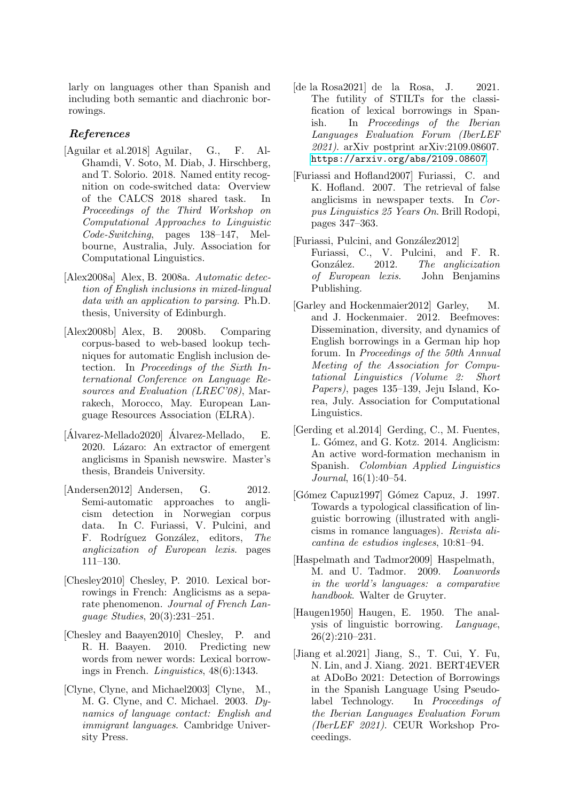larly on languages other than Spanish and including both semantic and diachronic borrowings.

### References

- <span id="page-7-14"></span>[Aguilar et al.2018] Aguilar, G., F. Al-Ghamdi, V. Soto, M. Diab, J. Hirschberg, and T. Solorio. 2018. Named entity recognition on code-switched data: Overview of the CALCS 2018 shared task. In Proceedings of the Third Workshop on Computational Approaches to Linguistic Code-Switching, pages 138–147, Melbourne, Australia, July. Association for Computational Linguistics.
- <span id="page-7-0"></span>[Alex2008a] Alex, B. 2008a. Automatic detection of English inclusions in mixed-lingual data with an application to parsing. Ph.D. thesis, University of Edinburgh.
- <span id="page-7-5"></span>[Alex2008b] Alex, B. 2008b. Comparing corpus-based to web-based lookup techniques for automatic English inclusion detection. In Proceedings of the Sixth International Conference on Language Resources and Evaluation (LREC'08), Marrakech, Morocco, May. European Language Resources Association (ELRA).
- <span id="page-7-9"></span>[Álvarez-Mellado2020] Álvarez-Mellado, E. 2020. Lázaro: An extractor of emergent anglicisms in Spanish newswire. Master's thesis, Brandeis University.
- <span id="page-7-8"></span>[Andersen2012] Andersen, G. 2012. Semi-automatic approaches to anglicism detection in Norwegian corpus data. In C. Furiassi, V. Pulcini, and F. Rodríguez González, editors, The anglicization of European lexis. pages 111–130.
- <span id="page-7-3"></span>[Chesley2010] Chesley, P. 2010. Lexical borrowings in French: Anglicisms as a separate phenomenon. Journal of French Language Studies, 20(3):231–251.
- <span id="page-7-2"></span>[Chesley and Baayen2010] Chesley, P. and R. H. Baayen. 2010. Predicting new words from newer words: Lexical borrowings in French. Linguistics, 48(6):1343.
- <span id="page-7-11"></span>[Clyne, Clyne, and Michael2003] Clyne, M., M. G. Clyne, and C. Michael. 2003. Dynamics of language contact: English and immigrant languages. Cambridge University Press.
- <span id="page-7-16"></span>[de la Rosa2021] de la Rosa, J. 2021. The futility of STILTs for the classification of lexical borrowings in Spanish. In Proceedings of the Iberian Languages Evaluation Forum (IberLEF 2021). arXiv postprint arXiv:2109.08607. <https://arxiv.org/abs/2109.08607>.
- <span id="page-7-7"></span>[Furiassi and Hofland2007] Furiassi, C. and K. Hofland. 2007. The retrieval of false anglicisms in newspaper texts. In Corpus Linguistics 25 Years On. Brill Rodopi, pages 347–363.
- <span id="page-7-1"></span>[Furiassi, Pulcini, and González2012] Furiassi, C., V. Pulcini, and F. R. González. 2012. The anglicization of European lexis. John Benjamins Publishing.
- <span id="page-7-6"></span>[Garley and Hockenmaier2012] Garley, M. and J. Hockenmaier. 2012. Beefmoves: Dissemination, diversity, and dynamics of English borrowings in a German hip hop forum. In Proceedings of the 50th Annual Meeting of the Association for Computational Linguistics (Volume 2: Short Papers), pages 135–139, Jeju Island, Korea, July. Association for Computational Linguistics.
- <span id="page-7-4"></span>[Gerding et al.2014] Gerding, C., M. Fuentes, L. Gómez, and G. Kotz. 2014. Anglicism: An active word-formation mechanism in Spanish. Colombian Applied Linguistics Journal, 16(1):40–54.
- <span id="page-7-12"></span>[Gómez Capuz1997] Gómez Capuz, J. 1997. Towards a typological classification of linguistic borrowing (illustrated with anglicisms in romance languages). Revista alicantina de estudios ingleses, 10:81–94.
- <span id="page-7-13"></span>[Haspelmath and Tadmor2009] Haspelmath, M. and U. Tadmor. 2009. Loanwords in the world's languages: a comparative handbook. Walter de Gruyter.
- <span id="page-7-10"></span>[Haugen1950] Haugen, E. 1950. The analysis of linguistic borrowing. Language, 26(2):210–231.
- <span id="page-7-15"></span>[Jiang et al.2021] Jiang, S., T. Cui, Y. Fu, N. Lin, and J. Xiang. 2021. BERT4EVER at ADoBo 2021: Detection of Borrowings in the Spanish Language Using Pseudolabel Technology. In Proceedings of the Iberian Languages Evaluation Forum (IberLEF 2021). CEUR Workshop Proceedings.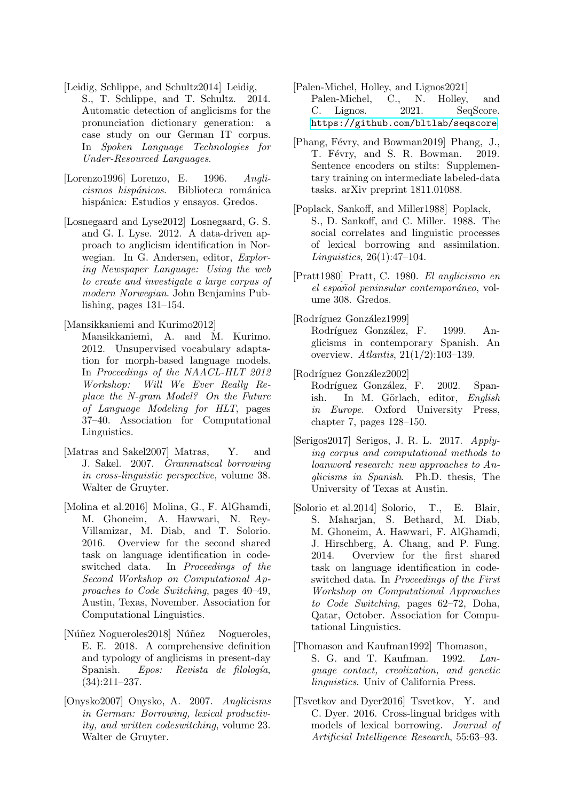<span id="page-8-2"></span>[Leidig, Schlippe, and Schultz2014] Leidig,

- S., T. Schlippe, and T. Schultz. 2014. Automatic detection of anglicisms for the pronunciation dictionary generation: a case study on our German IT corpus. In Spoken Language Technologies for Under-Resourced Languages.
- <span id="page-8-11"></span>[Lorenzo1996] Lorenzo, E. 1996. Anglicismos hispánicos. Biblioteca románica hispánica: Estudios y ensayos. Gredos.
- <span id="page-8-6"></span>[Losnegaard and Lyse2012] Losnegaard, G. S. and G. I. Lyse. 2012. A data-driven approach to anglicism identification in Norwegian. In G. Andersen, editor, Exploring Newspaper Language: Using the web to create and investigate a large corpus of modern Norwegian. John Benjamins Publishing, pages 131–154.

<span id="page-8-5"></span>[Mansikkaniemi and Kurimo2012]

- Mansikkaniemi, A. and M. Kurimo. 2012. Unsupervised vocabulary adaptation for morph-based language models. In Proceedings of the NAACL-HLT 2012 Workshop: Will We Ever Really Replace the N-gram Model? On the Future of Language Modeling for HLT, pages 37–40. Association for Computational Linguistics.
- <span id="page-8-9"></span>[Matras and Sakel2007] Matras, Y. and J. Sakel. 2007. Grammatical borrowing in cross-linguistic perspective, volume 38. Walter de Gruyter.
- <span id="page-8-15"></span>[Molina et al.2016] Molina, G., F. AlGhamdi, M. Ghoneim, A. Hawwari, N. Rey-Villamizar, M. Diab, and T. Solorio. 2016. Overview for the second shared task on language identification in codeswitched data. In Proceedings of the Second Workshop on Computational Approaches to Code Switching, pages 40–49, Austin, Texas, November. Association for Computational Linguistics.
- <span id="page-8-13"></span>[Núñez Nogueroles2018] Núñez Nogueroles, E. E. 2018. A comprehensive definition and typology of anglicisms in present-day Spanish. Epos: Revista de filología, (34):211–237.
- <span id="page-8-0"></span>[Onysko2007] Onysko, A. 2007. Anglicisms in German: Borrowing, lexical productivity, and written codeswitching, volume 23. Walter de Gruyter.

<span id="page-8-17"></span>[Palen-Michel, Holley, and Lignos2021] Palen-Michel, C., N. Holley, and<br>C. Lignos. 2021. SeqScore. C. Lignos. <https://github.com/bltlab/seqscore>.

- <span id="page-8-16"></span>[Phang, Févry, and Bowman2019] Phang, J., T. Févry, and S. R. Bowman. 2019. Sentence encoders on stilts: Supplementary training on intermediate labeled-data tasks. arXiv preprint 1811.01088.
- <span id="page-8-1"></span>[Poplack, Sankoff, and Miller1988] Poplack, S., D. Sankoff, and C. Miller. 1988. The social correlates and linguistic processes of lexical borrowing and assimilation. Linguistics, 26(1):47–104.
- <span id="page-8-10"></span>[Pratt1980] Pratt, C. 1980. El anglicismo en el español peninsular contemporáneo, volume 308. Gredos.
- <span id="page-8-12"></span>[Rodríguez González1999] Rodríguez González, F. 1999. Anglicisms in contemporary Spanish. An overview. Atlantis, 21(1/2):103–139.
- <span id="page-8-4"></span>[Rodríguez González2002] Rodríguez González, F. 2002. Span-

ish. In M. Görlach, editor, English in Europe. Oxford University Press, chapter 7, pages 128–150.

- <span id="page-8-7"></span>[Serigos2017] Serigos, J. R. L. 2017. Applying corpus and computational methods to loanword research: new approaches to Anglicisms in Spanish. Ph.D. thesis, The University of Texas at Austin.
- <span id="page-8-14"></span>[Solorio et al.2014] Solorio, T., E. Blair, S. Maharjan, S. Bethard, M. Diab, M. Ghoneim, A. Hawwari, F. AlGhamdi, J. Hirschberg, A. Chang, and P. Fung. 2014. Overview for the first shared task on language identification in codeswitched data. In Proceedings of the First Workshop on Computational Approaches to Code Switching, pages 62–72, Doha, Qatar, October. Association for Computational Linguistics.
- <span id="page-8-8"></span>[Thomason and Kaufman1992] Thomason, S. G. and T. Kaufman. 1992. Language contact, creolization, and genetic linguistics. Univ of California Press.
- <span id="page-8-3"></span>[Tsvetkov and Dyer2016] Tsvetkov, Y. and C. Dyer. 2016. Cross-lingual bridges with models of lexical borrowing. Journal of Artificial Intelligence Research, 55:63–93.